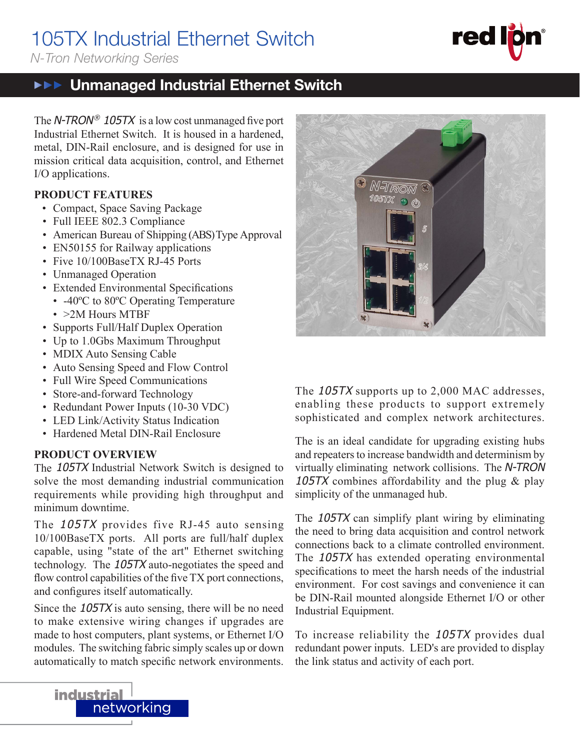# 105TX Industrial Ethernet Switch

*N-Tron Networking Series*

#### Unmanaged Industrial Ethernet Switch  $\blacktriangleright \blacktriangleright \blacktriangleright$

The N-TRON<sup>®</sup> 105TX is a low cost unmanaged five port Industrial Ethernet Switch. It is housed in a hardened, metal, DIN-Rail enclosure, and is designed for use in mission critical data acquisition, control, and Ethernet I/O applications.

#### **PRODUCT FEATURES**

- Compact, Space Saving Package
- Full IEEE 802.3 Compliance
- American Bureau of Shipping (ABS) Type Approval
- EN50155 for Railway applications
- Five 10/100BaseTX RJ-45 Ports
- Unmanaged Operation
- Extended Environmental Specifications
- -40°C to 80°C Operating Temperature
- > 2M Hours MTBF
- Supports Full/Half Duplex Operation
- Up to 1.0Gbs Maximum Throughput
- MDIX Auto Sensing Cable
- Auto Sensing Speed and Flow Control
- Full Wire Speed Communications
- Store-and-forward Technology
- Redundant Power Inputs (10-30 VDC)
- LED Link/Activity Status Indication
- Hardened Metal DIN-Rail Enclosure

#### **PRODUCT OVERVIEW**

The 105TX Industrial Network Switch is designed to solve the most demanding industrial communication requirements while providing high throughput and minimum downtime.

The 105TX provides five RJ-45 auto sensing 10/100BaseTX ports. All ports are full/half duplex capable, using "state of the art" Ethernet switching technology. The 105TX auto-negotiates the speed and flow control capabilities of the five  $TX$  port connections, and configures itself automatically.

Since the 105TX is auto sensing, there will be no need to make extensive wiring changes if upgrades are made to host computers, plant systems, or Ethernet I/O modules. The switching fabric simply scales up or down automatically to match specific network environments.



*N-Irom* 

The 105TX supports up to 2,000 MAC addresses, enabling these products to support extremely sophisticated and complex network architectures.

The is an ideal candidate for upgrading existing hubs and repeaters to increase bandwidth and determinism by virtually eliminating network collisions. The N-TRON 105TX combines affordability and the plug & play simplicity of the unmanaged hub.

The 105TX can simplify plant wiring by eliminating the need to bring data acquisition and control network connections back to a climate controlled environment. The 105TX has extended operating environmental specifications to meet the harsh needs of the industrial environment. For cost savings and convenience it can be DIN-Rail mounted alongside Ethernet I/O or other Industrial Equipment.

To increase reliability the 105TX provides dual redundant power inputs. LED's are provided to display the link status and activity of each port.

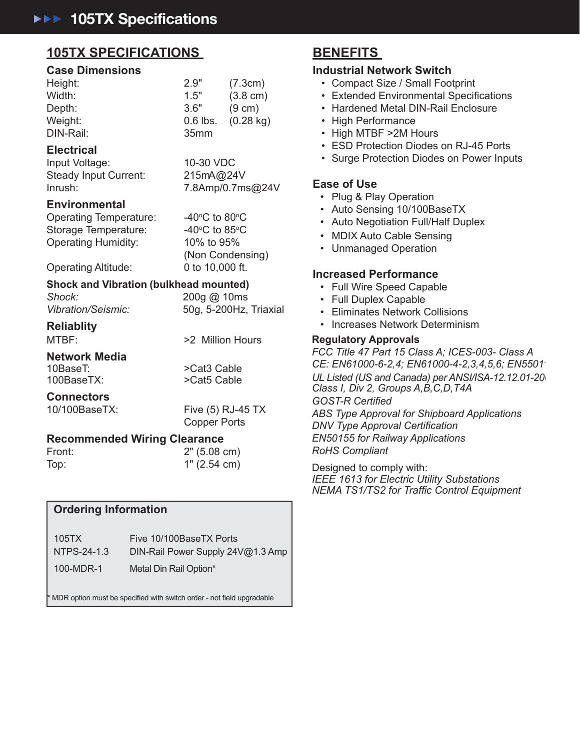### **105TX SPECIFICATIONS 105TX SPECIFICATIONS**

#### **Case Dimensions Case Dimensions**

| Height:   | 2.9"             | (7.3cm)             |
|-----------|------------------|---------------------|
| Width:    | 1.5"             | $(3.8 \text{ cm})$  |
| Depth:    | 3.6"             | $(9 \text{ cm})$    |
| Weight:   | $0.6$ lbs.       | $(0.28 \text{ kg})$ |
| DIN-Rail: | 35 <sub>mm</sub> |                     |
|           |                  |                     |

#### **Electrical Electrical**

Input Voltage: 10-30 VDC Input Voltage: 10-30 VDC Steady Input Current: 215mA@24V Steady Input Current: 215mA@24V Inrush: 7.8Amp/0.7ms@24V Inrush: 7.8Amp/0.7ms@24V

#### **Environmental Environmental**

Operating Temperature: -40° Storage Temperature: 40° Operating Humidity: 10% to 95% Operating Humidity: 10% to 95%

 $C$  to 80 $\degree C$  $C$  to 85 $\degree$ C (Non Condensing) (Non Condensing)

Operating Altitude: 0 to 10,000 ft. Operating Altitude: 0 to 10,000 ft.

#### **Shock and Vibration (bulkhead mounted) Shock and Vibration (bulkhead mounted)**

| Shock:             | 200g @ 10ms            |
|--------------------|------------------------|
| Vibration/Seismic: | 50g, 5-200Hz, Triaxial |

# **Reliablity Reliablity**

MTBF: >2 Million Hours MTBF: >2 Million Hours

**Network Media Network Media** 10BaseT:  $>$ Cat3 Cable 100BaseTX: >Cat5 Cable 100BaseTX: >Cat5 Cable

#### **Connectors Connectors**

10/100BaseTX: Five (5) RJ-45 TX 10/100BaseTX: Five (5) RJ-45 TX Copper Ports Copper Ports

#### **Recommended Wiring Clearance Recommended Wiring Clearance**

| Front: | 2" (5.08 cm) |  |
|--------|--------------|--|
| Top:   | 1" (2.54 cm) |  |

### **Ordering Information Ordering Information**

| 105TX       | Five 10/100BaseTX Ports           |
|-------------|-----------------------------------|
| NTPS-24-1.3 | DIN-Rail Power Supply 24V@1.3 Amp |
| 100-MDR-1   | Metal Din Rail Option*            |

 $^*$  MDR option must be specified with switch order - not field upgradable

## **BENEFITS BENEFITS**

#### **Industrial Network Switch Industrial Network Switch**

- Compact Size / Small Footprint Compact Size / Small Footprint
- Extended Environmental Specifications
- Hardened Metal DIN-Rail Enclosure Hardened Metal DIN-Rail Enclosure
- High Performance High Performance
- High MTBF >2M Hours • High MTBF >2M Hours
- ESD Protection Diodes on RJ-45 Ports ESD Protection Diodes on RJ-45 Ports
- Surge Protection Diodes on Power Inputs Surge Protection Diodes on Power Inputs

#### **Ease of Use Ease of Use**

- Plug & Play Operation Plug & Play Operation
- Auto Sensing 10/100BaseTX Auto Sensing 10/100BaseTX
- Auto Negotiation Full/Half Duplex • Auto Negotiation Full/Half Duplex
- MDIX Auto Cable Sensing MDIX Auto Cable Sensing
- Unmanaged Operation Unmanaged Operation

#### **Increased Performance Increased Performance**

- Full Wire Speed Capable Full Wire Speed Capable
- Full Duplex Capable Full Duplex Capable
- Eliminates Network Collisions Eliminates Network Collisions
- Increases Network Determinism Increases Network Determinism

#### **Regulatory Approvals Regulatory Approvals**

*FCC Title 47 Part 15 Class A; ICES-003- Class A FCC Title 47 Part 15 Class A; ICES-003- Class A CE: EN61000-6-2,4; EN61000-4-2,3,4,5,6; EN55011 CE: EN61000-6-2,4; EN61000-4-2,3,4,5,6; EN55011 UL Listed (US and Canada) per ANSI/ISA-12.12.01-2007, UL Listed (US and Canada) per ANSI/ISA-12.12.01-2007, Class I, Div 2, Groups A,B,C,D,T4A Class I, Div 2, Groups A,B,C,D,T4A GOST-R Certifi ed GOST-R Certifi ed ABS Type Approval for Shipboard Applications ABS Type Approval for Shipboard Applications DNV Type Approval Certifi cation DNV Type Approval Certifi cation*

*EN50155 for Railway Applications EN50155 for Railway Applications RoHS Compliant RoHS Compliant*

Designed to comply with: Designed to comply with: *IEEE 1613 for Electric Utility Substations IEEE 1613 for Electric Utility Substations NEMA TS1/TS2 for Traffi c Control Equipment NEMA TS1/TS2 for Traffi c Control Equipment*